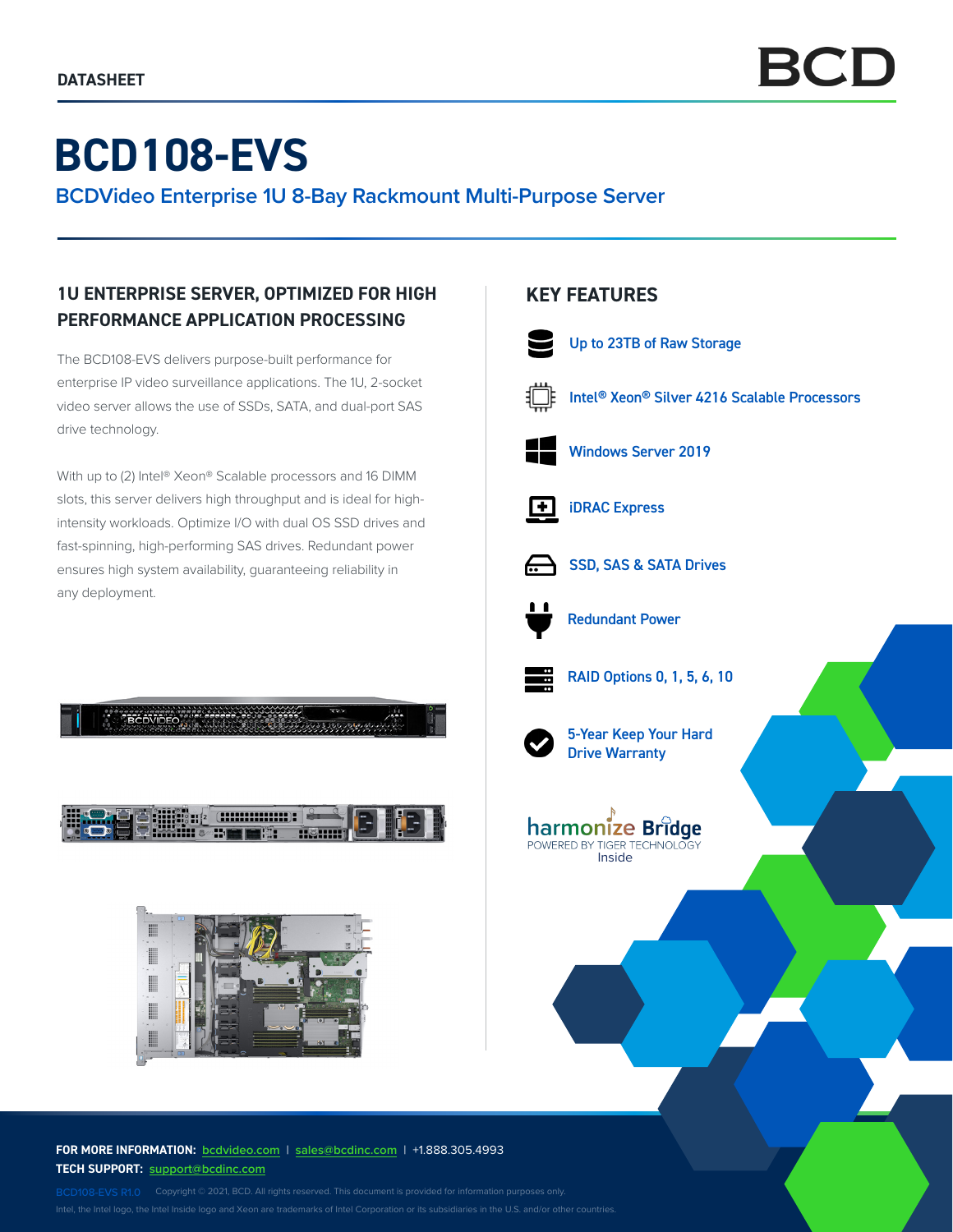# **BCD108-EVS**

**BCDVideo Enterprise 1U 8-Bay Rackmount Multi-Purpose Server**

## **1U ENTERPRISE SERVER, OPTIMIZED FOR HIGH PERFORMANCE APPLICATION PROCESSING**

The BCD108-EVS delivers purpose-built performance for enterprise IP video surveillance applications. The 1U, 2-socket video server allows the use of SSDs, SATA, and dual-port SAS drive technology.

With up to (2) Intel® Xeon® Scalable processors and 16 DIMM slots, this server delivers high throughput and is ideal for highintensity workloads. Optimize I/O with dual OS SSD drives and fast-spinning, high-performing SAS drives. Redundant power ensures high system availability, guaranteeing reliability in any deployment.





**FOR MORE INFORMATION: bcdvideo.com** | **sales@bcdinc.com** | +1.888.305.4993 **TECH SUPPORT: support@bcdinc.com**

Intel, the Intel logo, the Intel Inside logo and Xeon are trademarks of Intel Corporation or its subsidiaries in the U.S. and/or other countries.

## **KEY FEATURES**



5-Year Keep Your Hard Drive Warranty